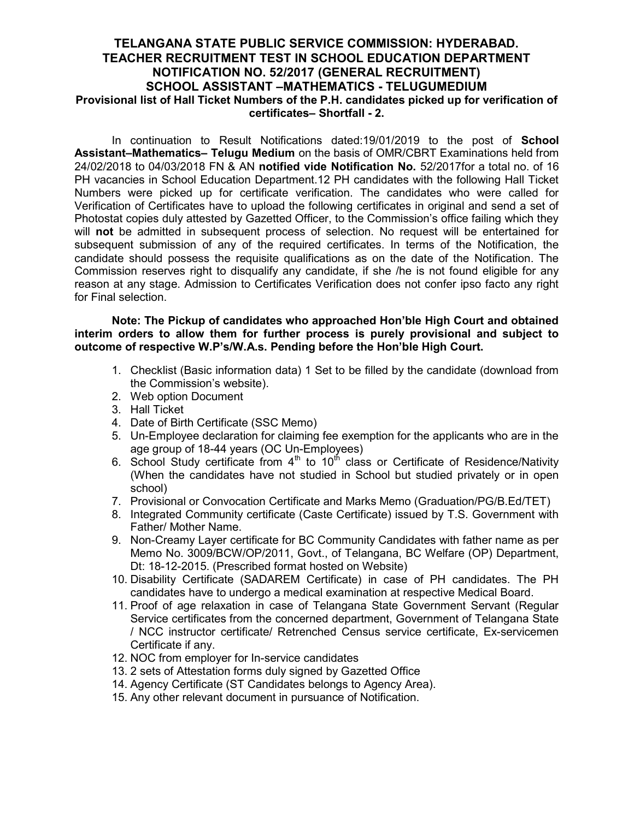## TELANGANA STATE PUBLIC SERVICE COMMISSION: HYDERABAD. TEACHER RECRUITMENT TEST IN SCHOOL EDUCATION DEPARTMENT NOTIFICATION NO. 52/2017 (GENERAL RECRUITMENT) SCHOOL ASSISTANT –MATHEMATICS - TELUGUMEDIUM Provisional list of Hall Ticket Numbers of the P.H. candidates picked up for verification of certificates– Shortfall - 2.

In continuation to Result Notifications dated:19/01/2019 to the post of School Assistant–Mathematics– Telugu Medium on the basis of OMR/CBRT Examinations held from 24/02/2018 to 04/03/2018 FN & AN notified vide Notification No. 52/2017for a total no. of 16 PH vacancies in School Education Department.12 PH candidates with the following Hall Ticket Numbers were picked up for certificate verification. The candidates who were called for Verification of Certificates have to upload the following certificates in original and send a set of Photostat copies duly attested by Gazetted Officer, to the Commission's office failing which they will not be admitted in subsequent process of selection. No request will be entertained for subsequent submission of any of the required certificates. In terms of the Notification, the candidate should possess the requisite qualifications as on the date of the Notification. The Commission reserves right to disqualify any candidate, if she /he is not found eligible for any reason at any stage. Admission to Certificates Verification does not confer ipso facto any right for Final selection.

Note: The Pickup of candidates who approached Hon'ble High Court and obtained interim orders to allow them for further process is purely provisional and subject to outcome of respective W.P's/W.A.s. Pending before the Hon'ble High Court.

- 1. Checklist (Basic information data) 1 Set to be filled by the candidate (download from the Commission's website).
- 2. Web option Document
- 3. Hall Ticket
- 4. Date of Birth Certificate (SSC Memo)
- 5. Un-Employee declaration for claiming fee exemption for the applicants who are in the age group of 18-44 years (OC Un-Employees)
- 6. School Study certificate from  $4<sup>th</sup>$  to  $10<sup>th</sup>$  class or Certificate of Residence/Nativity (When the candidates have not studied in School but studied privately or in open school)
- 7. Provisional or Convocation Certificate and Marks Memo (Graduation/PG/B.Ed/TET)
- 8. Integrated Community certificate (Caste Certificate) issued by T.S. Government with Father/ Mother Name.
- 9. Non-Creamy Layer certificate for BC Community Candidates with father name as per Memo No. 3009/BCW/OP/2011, Govt., of Telangana, BC Welfare (OP) Department, Dt: 18-12-2015. (Prescribed format hosted on Website)
- 10. Disability Certificate (SADAREM Certificate) in case of PH candidates. The PH candidates have to undergo a medical examination at respective Medical Board.
- 11. Proof of age relaxation in case of Telangana State Government Servant (Regular Service certificates from the concerned department, Government of Telangana State / NCC instructor certificate/ Retrenched Census service certificate, Ex-servicemen Certificate if any.
- 12. NOC from employer for In-service candidates
- 13. 2 sets of Attestation forms duly signed by Gazetted Office
- 14. Agency Certificate (ST Candidates belongs to Agency Area).
- 15. Any other relevant document in pursuance of Notification.